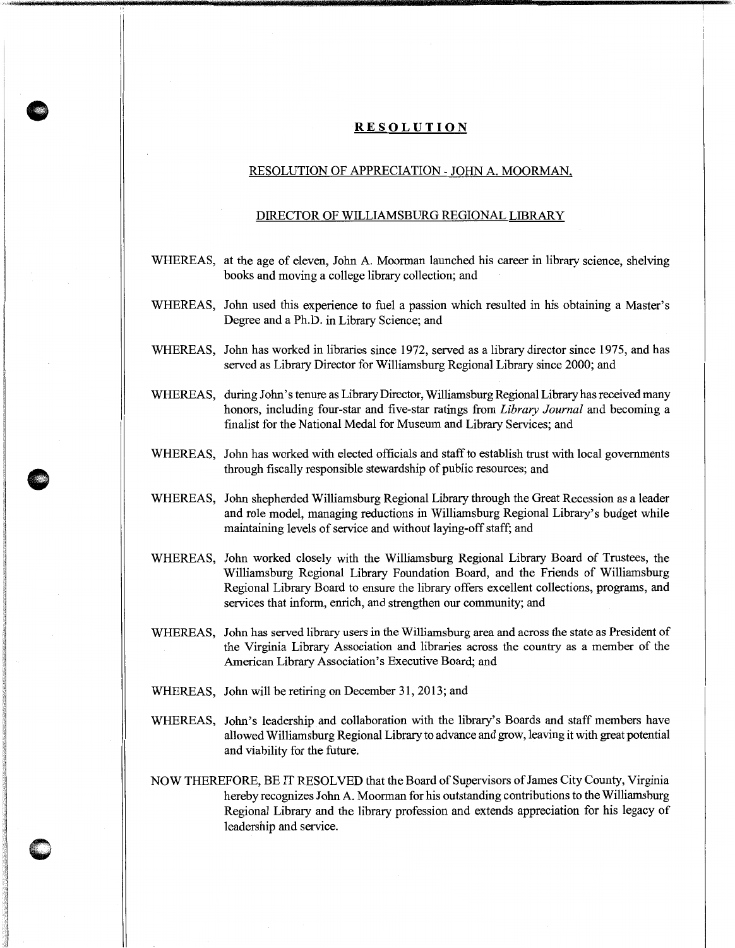## **RESOLUTION**

**0** 

## RESOLUTION OF APPRECIATION- JOHN A. MOORMAN,

## DIRECTOR OF WILLIAMSBURG REGIONAL LIBRARY

- WHEREAS, at the age of eleven, John A. Moorman launched his career in library science, shelving books and moving a college library collection; and
- WHEREAS, John used this experience to fuel a passion which resulted in his obtaining a Master's Degree and a Ph.D. in Library Science; and
- WHEREAS, John has worked in libraries since 1972, served as a library director since 1975, and has served as Library Director for Williamsburg Regional Library since 2000; and
- WHEREAS, during John's tenure as Library Director, Williamsburg Regional Library has received many honors, including four-star and five-star ratings from *Library Journal* and becoming a finalist for the National Medal for Museum and Library Services; and
- WHEREAS, John has worked with elected officials and staff to establish trust with local governments through fiscally responsible stewardship of public resources; and
- WHEREAS, John shepherded Williamsburg Regional Library through the Great Recession as a leader and role model, managing reductions in Williamsburg Regional Library's budget while maintaining levels of service and without laying-off staff; and
- WHEREAS, John worked closely with the Williamsburg Regional Library Board of Trustees, the Williamsburg Regional Library Foundation Board, and the Friends of Williamsburg Regional Library Board to ensure the library offers excellent collections, programs, and services that inform, enrich, and strengthen our community; and
- WHEREAS, John has served library users in the Williamsburg area and across the state as President of the Virginia Library Association and libraries across the country as a member of the American Library Association's Executive Board; and
- WHEREAS, John will be retiring on December 31, 2013; and
- WHEREAS, John's leadership and collaboration with the library's Boards and staff members have allowed Williams burg Regional Library to advance and grow, leaving it with great potential and viability for the future.
- NOW THEREFORE, BE IT RESOLVED that the Board of Supervisors of James City County, Virginia hereby recognizes John A. Moorman for his outstanding contributions to the Williamsburg Regional Library and the library profession and extends appreciation for his legacy of leadership and service.